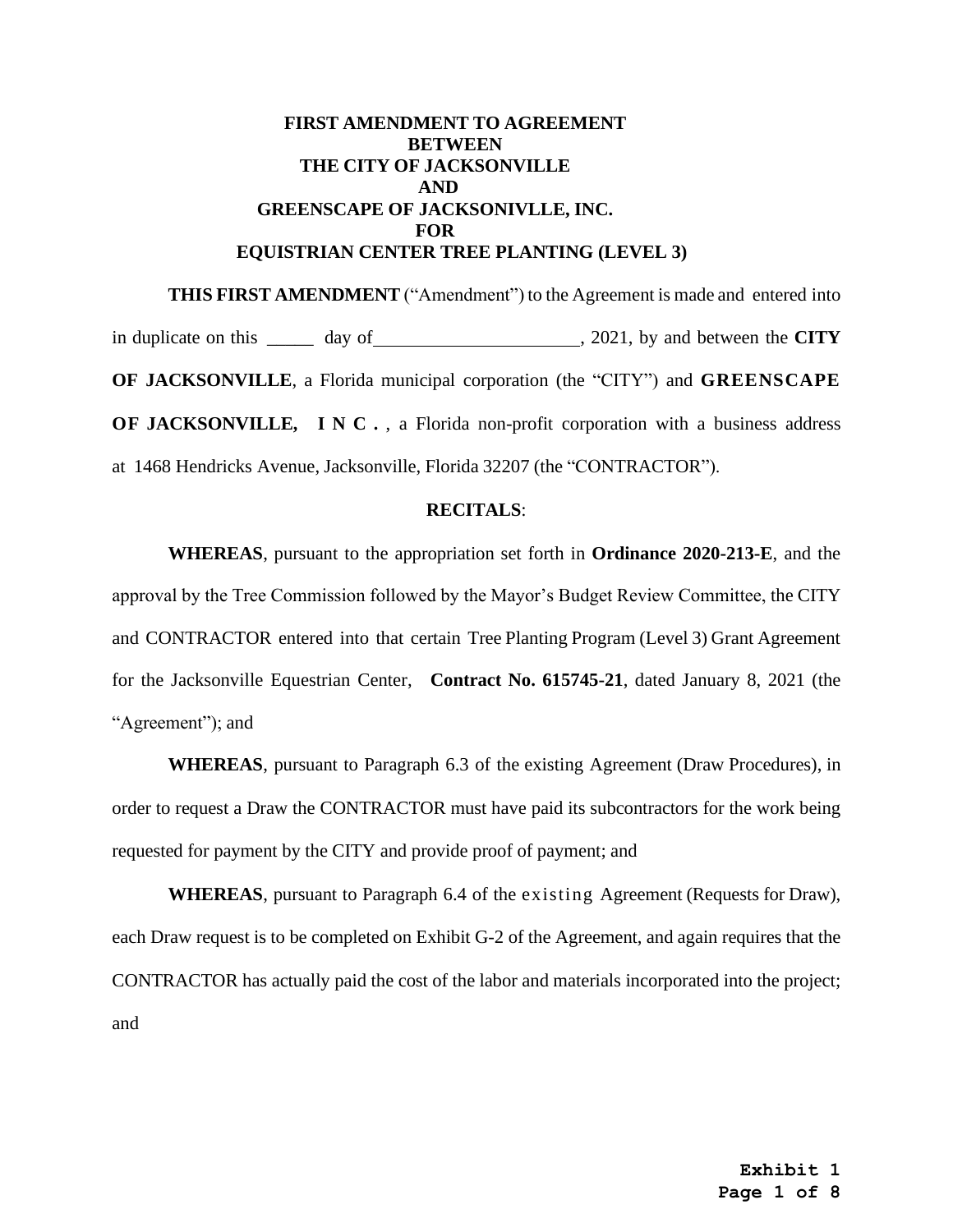# **FIRST AMENDMENT TO AGREEMENT BETWEEN THE CITY OF JACKSONVILLE AND GREENSCAPE OF JACKSONIVLLE, INC. FOR EQUISTRIAN CENTER TREE PLANTING (LEVEL 3)**

**THIS FIRST AMENDMENT** ("Amendment") to the Agreement is made and entered into in duplicate on this \_\_\_\_\_ day of , 2021, by and between the **CITY OF JACKSONVILLE**, a Florida municipal corporation (the "CITY") and **GREENSCAPE OF JACKSONVILLE, INC.**, a Florida non-profit corporation with a business address at 1468 Hendricks Avenue, Jacksonville, Florida 32207 (the "CONTRACTOR").

### **RECITALS**:

**WHEREAS**, pursuant to the appropriation set forth in **Ordinance 2020-213-E**, and the approval by the Tree Commission followed by the Mayor's Budget Review Committee, the CITY and CONTRACTOR entered into that certain Tree Planting Program (Level 3) Grant Agreement for the Jacksonville Equestrian Center, **Contract No. 615745-21**, dated January 8, 2021 (the "Agreement"); and

**WHEREAS**, pursuant to Paragraph 6.3 of the existing Agreement (Draw Procedures), in order to request a Draw the CONTRACTOR must have paid its subcontractors for the work being requested for payment by the CITY and provide proof of payment; and

**WHEREAS**, pursuant to Paragraph 6.4 of the existing Agreement (Requests for Draw), each Draw request is to be completed on Exhibit G-2 of the Agreement, and again requires that the CONTRACTOR has actually paid the cost of the labor and materials incorporated into the project; and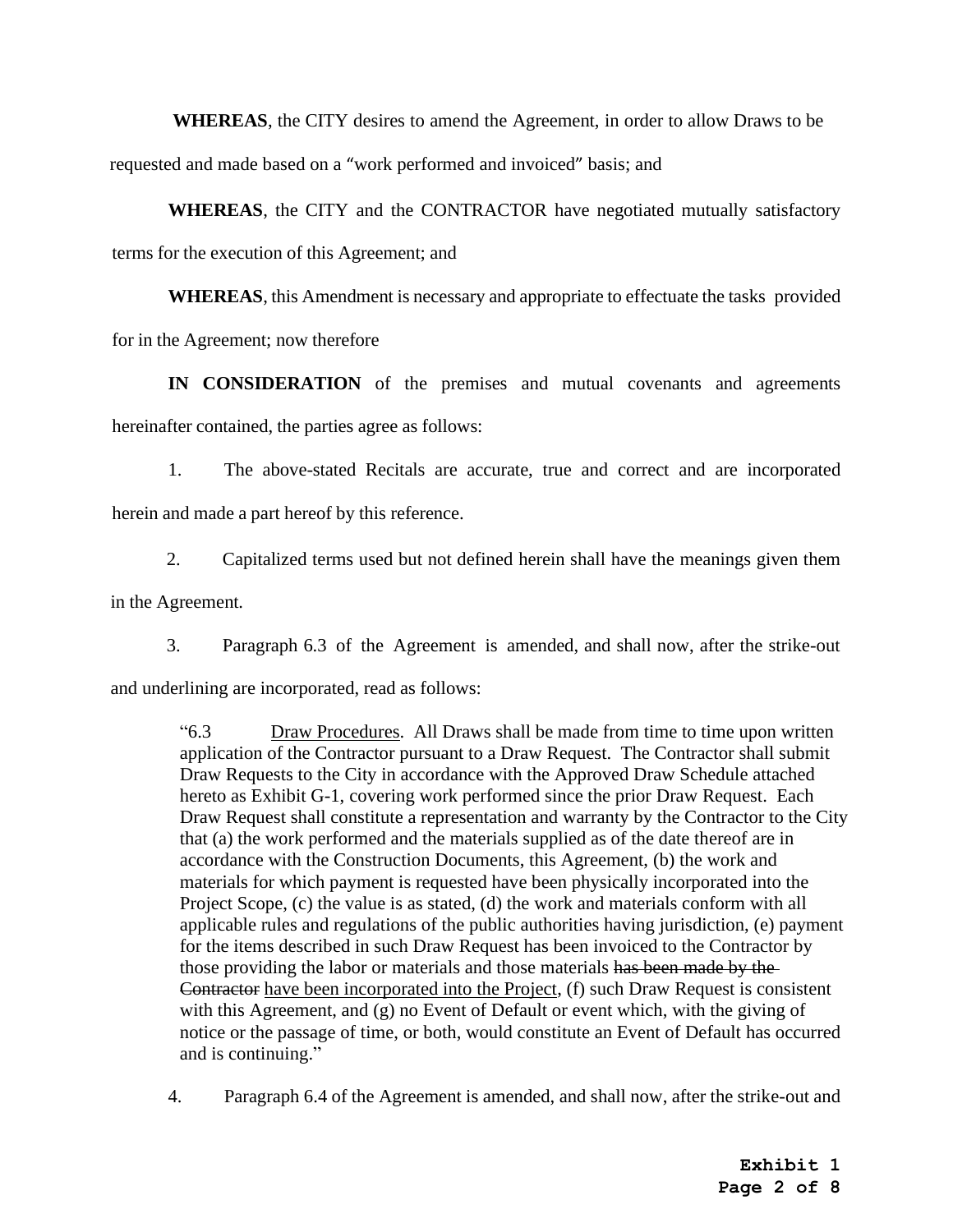**WHEREAS**, the CITY desires to amend the Agreement, in order to allow Draws to be

requested and made based on a "work performed and invoiced" basis; and

**WHEREAS**, the CITY and the CONTRACTOR have negotiated mutually satisfactory terms for the execution of this Agreement; and

**WHEREAS**, this Amendment is necessary and appropriate to effectuate the tasks provided for in the Agreement; now therefore

**IN CONSIDERATION** of the premises and mutual covenants and agreements hereinafter contained, the parties agree as follows:

1. The above-stated Recitals are accurate, true and correct and are incorporated herein and made a part hereof by this reference.

2. Capitalized terms used but not defined herein shall have the meanings given them in the Agreement.

3. Paragraph 6.3 of the Agreement is amended, and shall now, after the strike-out and underlining are incorporated, read as follows:

"6.3 Draw Procedures. All Draws shall be made from time to time upon written application of the Contractor pursuant to a Draw Request. The Contractor shall submit Draw Requests to the City in accordance with the Approved Draw Schedule attached hereto as Exhibit G-1, covering work performed since the prior Draw Request. Each Draw Request shall constitute a representation and warranty by the Contractor to the City that (a) the work performed and the materials supplied as of the date thereof are in accordance with the Construction Documents, this Agreement, (b) the work and materials for which payment is requested have been physically incorporated into the Project Scope, (c) the value is as stated, (d) the work and materials conform with all applicable rules and regulations of the public authorities having jurisdiction, (e) payment for the items described in such Draw Request has been invoiced to the Contractor by those providing the labor or materials and those materials has been made by the Contractor have been incorporated into the Project, (f) such Draw Request is consistent with this Agreement, and (g) no Event of Default or event which, with the giving of notice or the passage of time, or both, would constitute an Event of Default has occurred and is continuing."

4. Paragraph 6.4 of the Agreement is amended, and shall now, after the strike-out and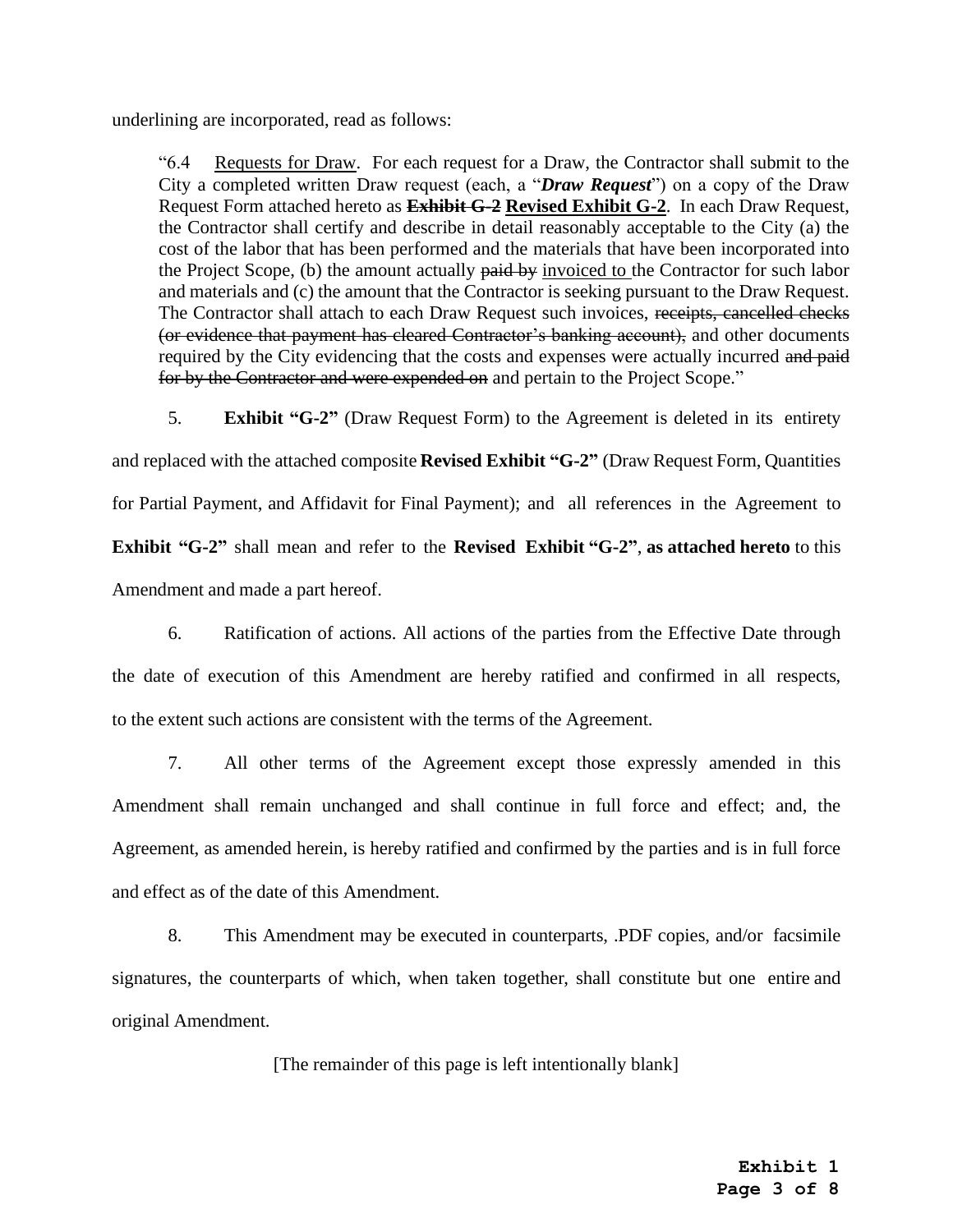underlining are incorporated, read as follows:

"6.4 Requests for Draw. For each request for a Draw, the Contractor shall submit to the City a completed written Draw request (each, a "*Draw Request*") on a copy of the Draw Request Form attached hereto as **Exhibit G-2 Revised Exhibit G-2**. In each Draw Request, the Contractor shall certify and describe in detail reasonably acceptable to the City (a) the cost of the labor that has been performed and the materials that have been incorporated into the Project Scope, (b) the amount actually paid by invoiced to the Contractor for such labor and materials and (c) the amount that the Contractor is seeking pursuant to the Draw Request. The Contractor shall attach to each Draw Request such invoices, receipts, cancelled checks (or evidence that payment has cleared Contractor's banking account), and other documents required by the City evidencing that the costs and expenses were actually incurred and paid for by the Contractor and were expended on and pertain to the Project Scope."

5. **Exhibit "G-2"** (Draw Request Form) to the Agreement is deleted in its entirety and replaced with the attached composite **Revised Exhibit "G-2"** (Draw Request Form, Quantities

for Partial Payment, and Affidavit for Final Payment); and all references in the Agreement to **Exhibit "G-2"** shall mean and refer to the **Revised Exhibit "G-2"**, **as attached hereto** to this Amendment and made a part hereof.

6. Ratification of actions. All actions of the parties from the Effective Date through the date of execution of this Amendment are hereby ratified and confirmed in all respects, to the extent such actions are consistent with the terms of the Agreement.

7. All other terms of the Agreement except those expressly amended in this Amendment shall remain unchanged and shall continue in full force and effect; and, the Agreement, as amended herein, is hereby ratified and confirmed by the parties and is in full force and effect as of the date of this Amendment.

8. This Amendment may be executed in counterparts, .PDF copies, and/or facsimile signatures, the counterparts of which, when taken together, shall constitute but one entire and original Amendment.

[The remainder of this page is left intentionally blank]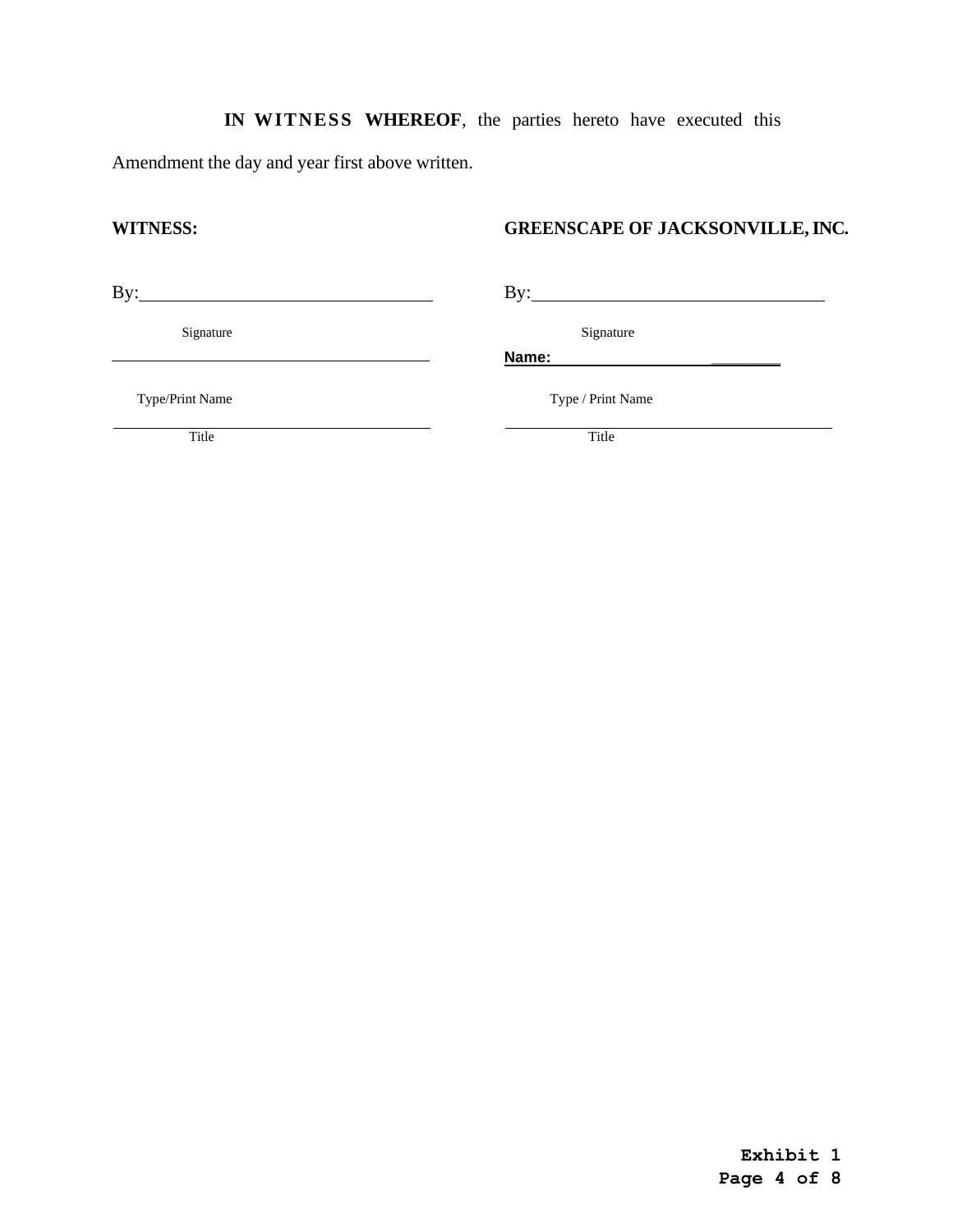# **IN WITNESS WHEREOF**, the parties hereto have executed this

Amendment the day and year first above written.

# **WITNESS: GREENSCAPE OF JACKSONVILLE, INC.**

By: By:

Signature Signature Signature Signature Signature Signature Signature Signature Signature Signature Signature Signature Signature Signature Signature Signature Signature Signature Signature Signature Signature Signature Si

**Name: \_\_\_\_\_\_\_\_**

Type/Print Name Type / Print Name

Title Title Title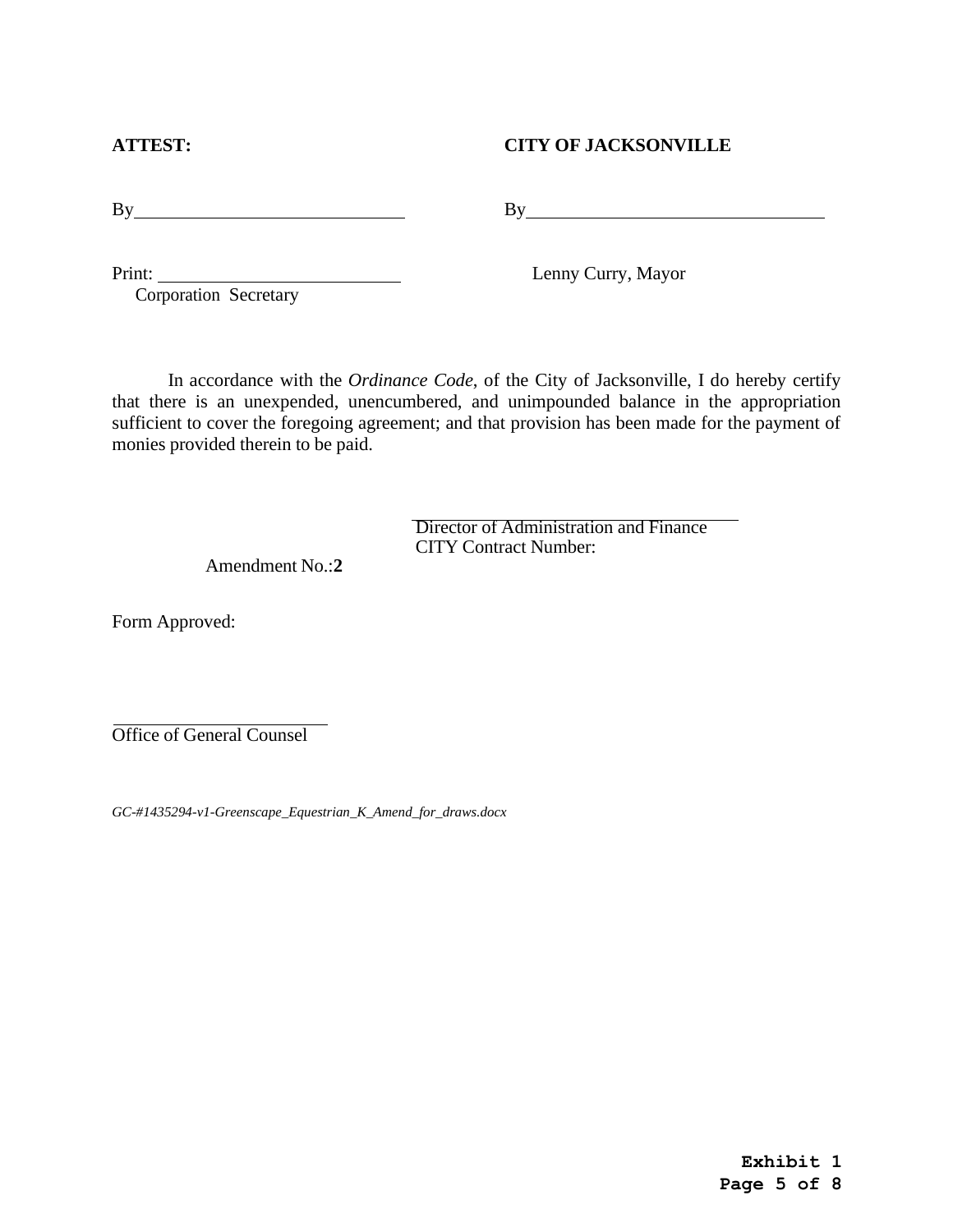Print:

**ATTEST: CITY OF JACKSONVILLE**

By By

Lenny Curry, Mayor

In accordance with the *Ordinance Code*, of the City of Jacksonville, I do hereby certify that there is an unexpended, unencumbered, and unimpounded balance in the appropriation sufficient to cover the foregoing agreement; and that provision has been made for the payment of monies provided therein to be paid.

> Director of Administration and Finance CITY Contract Number:

Amendment No.:**2**

Form Approved:

Office of General Counsel

*GC-#1435294-v1-Greenscape\_Equestrian\_K\_Amend\_for\_draws.docx*

Corporation Secretary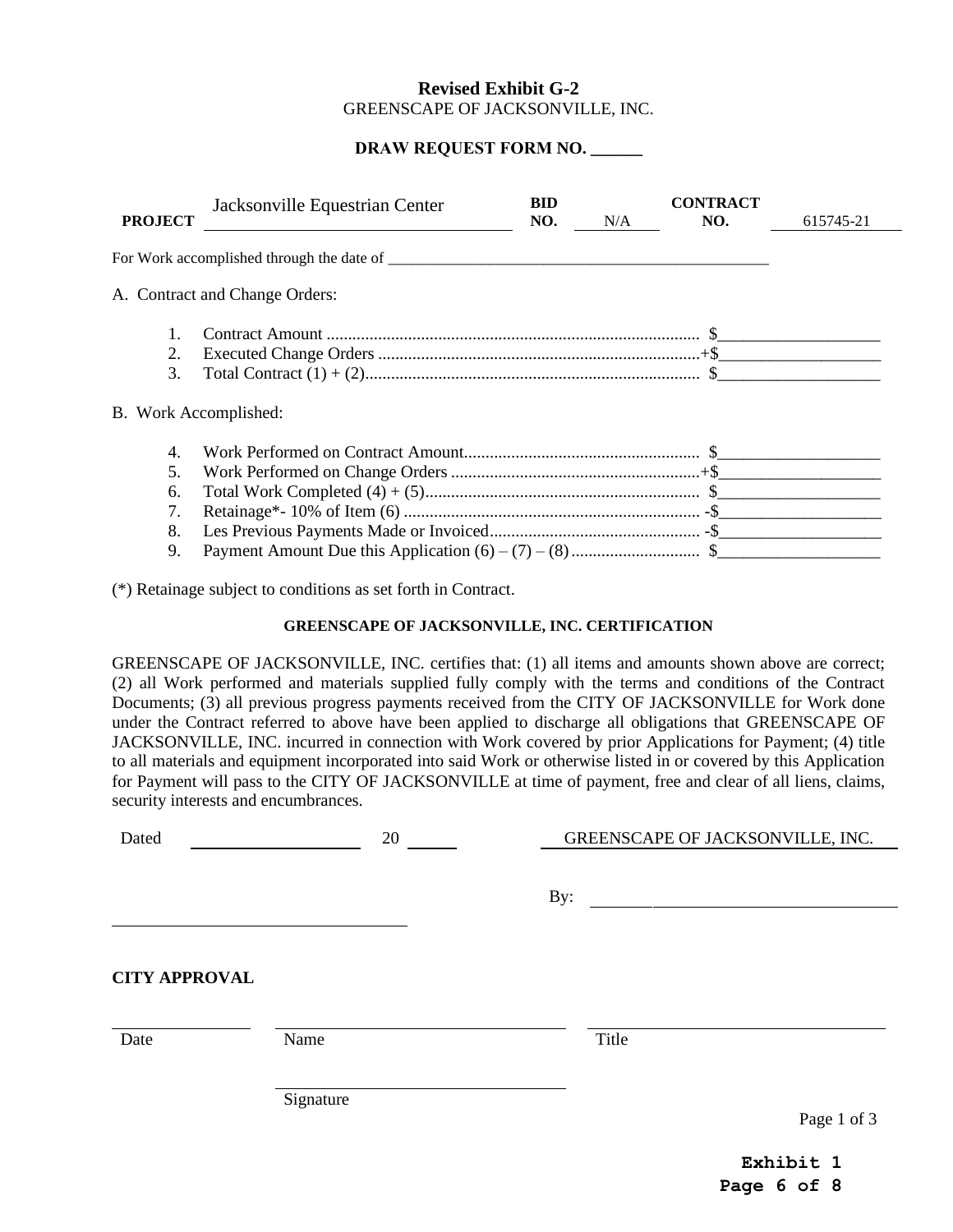## **Revised Exhibit G-2**  GREENSCAPE OF JACKSONVILLE, INC.

## **DRAW REQUEST FORM NO. \_\_\_\_\_\_**

| <b>PROJECT</b> | Jacksonville Equestrian Center                     | BID<br>NO. | N/A | <b>CONTRACT</b><br>NO. | 615745-21 |
|----------------|----------------------------------------------------|------------|-----|------------------------|-----------|
|                | For Work accomplished through the date of ________ |            |     |                        |           |
|                | A. Contract and Change Orders:                     |            |     |                        |           |
|                |                                                    |            |     |                        |           |
| 2.             |                                                    |            |     |                        |           |
| 3.             |                                                    |            |     |                        |           |
|                | B. Work Accomplished:                              |            |     |                        |           |
| 4.             |                                                    |            |     |                        |           |
| 5.             |                                                    |            |     |                        |           |
| 6.             |                                                    |            |     |                        |           |
| 7.             |                                                    |            |     |                        |           |
| 8.             |                                                    |            |     |                        |           |
| 9.             |                                                    |            |     |                        |           |

(\*) Retainage subject to conditions as set forth in Contract.

## **GREENSCAPE OF JACKSONVILLE, INC. CERTIFICATION**

GREENSCAPE OF JACKSONVILLE, INC. certifies that: (1) all items and amounts shown above are correct; (2) all Work performed and materials supplied fully comply with the terms and conditions of the Contract Documents; (3) all previous progress payments received from the CITY OF JACKSONVILLE for Work done under the Contract referred to above have been applied to discharge all obligations that GREENSCAPE OF JACKSONVILLE, INC. incurred in connection with Work covered by prior Applications for Payment; (4) title to all materials and equipment incorporated into said Work or otherwise listed in or covered by this Application for Payment will pass to the CITY OF JACKSONVILLE at time of payment, free and clear of all liens, claims, security interests and encumbrances.

| Dated                        | 20        | GREENSCAPE OF JACKSONVILLE, INC. |             |  |  |
|------------------------------|-----------|----------------------------------|-------------|--|--|
|                              |           | By:                              |             |  |  |
| <b>CITY APPROVAL</b><br>Date | Name      | Title                            |             |  |  |
|                              | Signature |                                  | Page 1 of 3 |  |  |

**Exhibit 1 Page 6 of 8**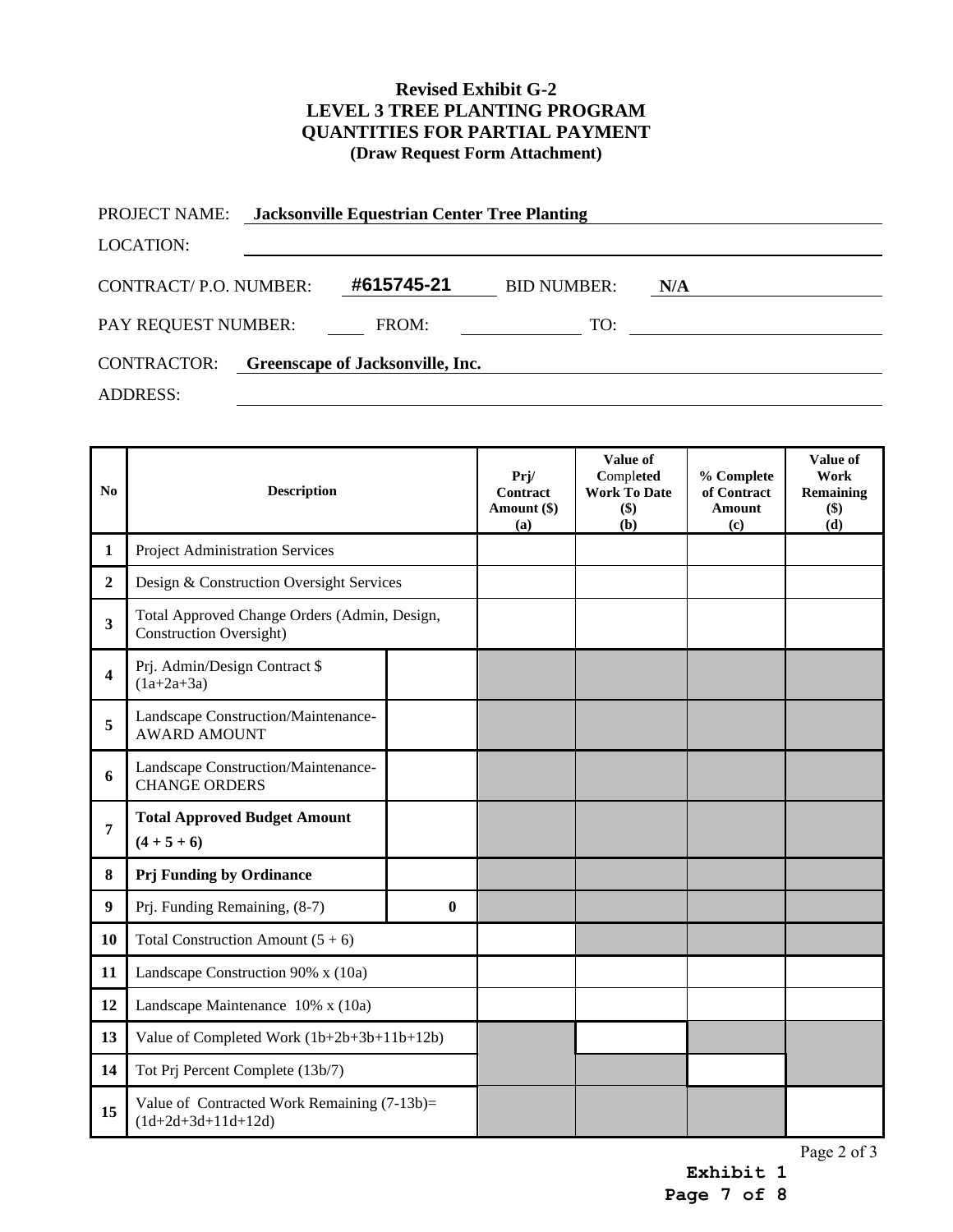## **Revised Exhibit G-2 LEVEL 3 TREE PLANTING PROGRAM QUANTITIES FOR PARTIAL PAYMENT (Draw Request Form Attachment)**

| <b>PROJECT NAME:</b>  | <b>Jacksonville Equestrian Center Tree Planting</b> |                    |     |  |
|-----------------------|-----------------------------------------------------|--------------------|-----|--|
| <b>LOCATION:</b>      |                                                     |                    |     |  |
| CONTRACT/P.O. NUMBER: | #615745-21                                          | <b>BID NUMBER:</b> | N/A |  |
| PAY REQUEST NUMBER:   | FROM:                                               | TO:                |     |  |
| <b>CONTRACTOR:</b>    | Greenscape of Jacksonville, Inc.                    |                    |     |  |
| <b>ADDRESS:</b>       |                                                     |                    |     |  |

| No                      | <b>Description</b>                                                             |          | Prj/<br>Contract<br>Amount (\$)<br>(a) | Value of<br>Completed<br><b>Work To Date</b><br>\$)<br>(b) | % Complete<br>of Contract<br><b>Amount</b><br>(c) | Value of<br>Work<br><b>Remaining</b><br>$(\$)$<br>(d) |
|-------------------------|--------------------------------------------------------------------------------|----------|----------------------------------------|------------------------------------------------------------|---------------------------------------------------|-------------------------------------------------------|
| $\mathbf{1}$            | <b>Project Administration Services</b>                                         |          |                                        |                                                            |                                                   |                                                       |
| $\overline{2}$          | Design & Construction Oversight Services                                       |          |                                        |                                                            |                                                   |                                                       |
| $\overline{\mathbf{3}}$ | Total Approved Change Orders (Admin, Design,<br><b>Construction Oversight)</b> |          |                                        |                                                            |                                                   |                                                       |
| $\overline{\mathbf{4}}$ | Prj. Admin/Design Contract \$<br>$(1a+2a+3a)$                                  |          |                                        |                                                            |                                                   |                                                       |
| 5                       | Landscape Construction/Maintenance-<br><b>AWARD AMOUNT</b>                     |          |                                        |                                                            |                                                   |                                                       |
| 6                       | Landscape Construction/Maintenance-<br><b>CHANGE ORDERS</b>                    |          |                                        |                                                            |                                                   |                                                       |
| 7                       | <b>Total Approved Budget Amount</b><br>$(4+5+6)$                               |          |                                        |                                                            |                                                   |                                                       |
| 8                       | Prj Funding by Ordinance                                                       |          |                                        |                                                            |                                                   |                                                       |
| 9                       | Prj. Funding Remaining, (8-7)                                                  | $\bf{0}$ |                                        |                                                            |                                                   |                                                       |
| 10                      | Total Construction Amount $(5 + 6)$                                            |          |                                        |                                                            |                                                   |                                                       |
| 11                      | Landscape Construction 90% x (10a)                                             |          |                                        |                                                            |                                                   |                                                       |
| 12                      | Landscape Maintenance 10% x (10a)                                              |          |                                        |                                                            |                                                   |                                                       |
| 13                      | Value of Completed Work (1b+2b+3b+11b+12b)                                     |          |                                        |                                                            |                                                   |                                                       |
| 14                      | Tot Prj Percent Complete (13b/7)                                               |          |                                        |                                                            |                                                   |                                                       |
| 15                      | Value of Contracted Work Remaining (7-13b)=<br>$(1d+2d+3d+11d+12d)$            |          |                                        |                                                            |                                                   |                                                       |

Page 2 of 3